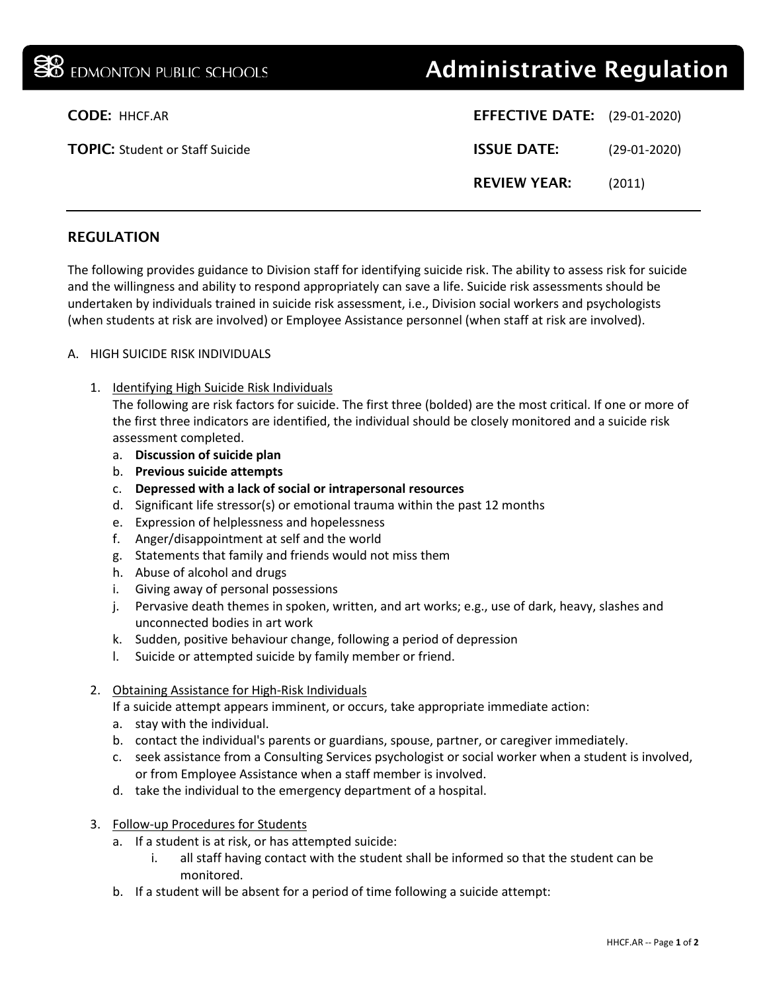# **BEDMONTON PUBLIC SCHOOLS Administrative Regulation**

| <b>CODE: HHCF.AR</b>                   | <b>EFFECTIVE DATE:</b> (29-01-2020) |                |
|----------------------------------------|-------------------------------------|----------------|
| <b>TOPIC:</b> Student or Staff Suicide | <b>ISSUE DATE:</b>                  | $(29-01-2020)$ |
|                                        | <b>REVIEW YEAR:</b>                 | (2011)         |

# REGULATION

The following provides guidance to Division staff for identifying suicide risk. The ability to assess risk for suicide and the willingness and ability to respond appropriately can save a life. Suicide risk assessments should be undertaken by individuals trained in suicide risk assessment, i.e., Division social workers and psychologists (when students at risk are involved) or Employee Assistance personnel (when staff at risk are involved).

## A. HIGH SUICIDE RISK INDIVIDUALS

1. Identifying High Suicide Risk Individuals

The following are risk factors for suicide. The first three (bolded) are the most critical. If one or more of the first three indicators are identified, the individual should be closely monitored and a suicide risk assessment completed.

- a. **Discussion of suicide plan**
- b. **Previous suicide attempts**
- c. **Depressed with a lack of social or intrapersonal resources**
- d. Significant life stressor(s) or emotional trauma within the past 12 months
- e. Expression of helplessness and hopelessness
- f. Anger/disappointment at self and the world
- g. Statements that family and friends would not miss them
- h. Abuse of alcohol and drugs
- i. Giving away of personal possessions
- j. Pervasive death themes in spoken, written, and art works; e.g., use of dark, heavy, slashes and unconnected bodies in art work
- k. Sudden, positive behaviour change, following a period of depression
- l. Suicide or attempted suicide by family member or friend.

#### 2. Obtaining Assistance for High-Risk Individuals

If a suicide attempt appears imminent, or occurs, take appropriate immediate action:

- a. stay with the individual.
- b. contact the individual's parents or guardians, spouse, partner, or caregiver immediately.
- c. seek assistance from a Consulting Services psychologist or social worker when a student is involved, or from Employee Assistance when a staff member is involved.
- d. take the individual to the emergency department of a hospital.
- 3. Follow-up Procedures for Students
	- a. If a student is at risk, or has attempted suicide:
		- i. all staff having contact with the student shall be informed so that the student can be monitored.
	- b. If a student will be absent for a period of time following a suicide attempt: